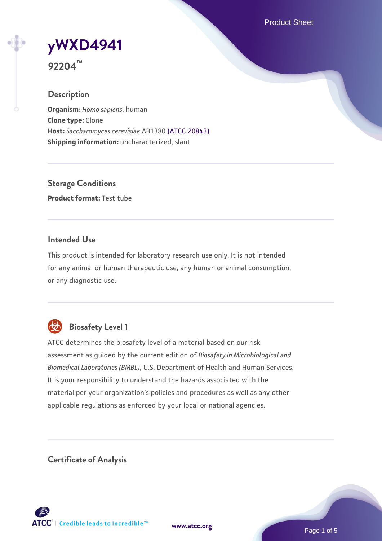Product Sheet

# **[yWXD4941](https://www.atcc.org/products/92204)**

**92204™**

## **Description**

**Organism:** *Homo sapiens*, human **Clone type:** Clone **Host:** *Saccharomyces cerevisiae* AB1380 [\(ATCC 20843\)](https://www.atcc.org/products/20843) **Shipping information:** uncharacterized, slant

**Storage Conditions Product format:** Test tube

## **Intended Use**

This product is intended for laboratory research use only. It is not intended for any animal or human therapeutic use, any human or animal consumption, or any diagnostic use.



# **Biosafety Level 1**

ATCC determines the biosafety level of a material based on our risk assessment as guided by the current edition of *Biosafety in Microbiological and Biomedical Laboratories (BMBL)*, U.S. Department of Health and Human Services. It is your responsibility to understand the hazards associated with the material per your organization's policies and procedures as well as any other applicable regulations as enforced by your local or national agencies.

**Certificate of Analysis**

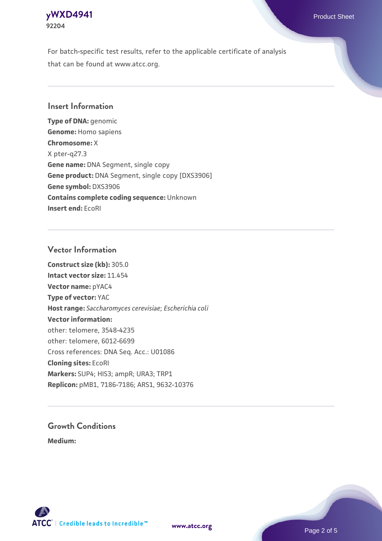## **[yWXD4941](https://www.atcc.org/products/92204)** Product Sheet **92204**

For batch-specific test results, refer to the applicable certificate of analysis that can be found at www.atcc.org.

## **Insert Information**

**Type of DNA:** genomic **Genome:** Homo sapiens **Chromosome:** X X pter-q27.3 **Gene name:** DNA Segment, single copy **Gene product:** DNA Segment, single copy [DXS3906] **Gene symbol:** DXS3906 **Contains complete coding sequence:** Unknown **Insert end:** EcoRI

## **Vector Information**

**Construct size (kb):** 305.0 **Intact vector size:** 11.454 **Vector name:** pYAC4 **Type of vector:** YAC **Host range:** *Saccharomyces cerevisiae*; *Escherichia coli* **Vector information:** other: telomere, 3548-4235 other: telomere, 6012-6699 Cross references: DNA Seq. Acc.: U01086 **Cloning sites:** EcoRI **Markers:** SUP4; HIS3; ampR; URA3; TRP1 **Replicon:** pMB1, 7186-7186; ARS1, 9632-10376

# **Growth Conditions**

**Medium:** 



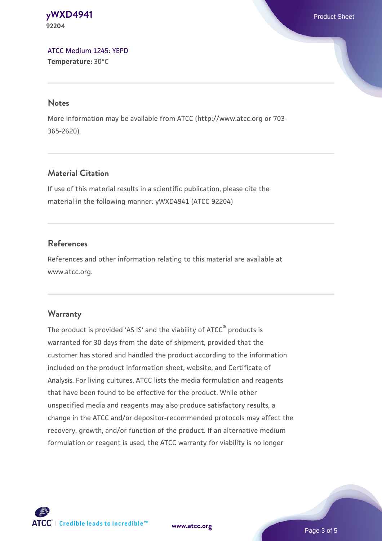#### **[yWXD4941](https://www.atcc.org/products/92204)** Product Sheet **92204**

[ATCC Medium 1245: YEPD](https://www.atcc.org/-/media/product-assets/documents/microbial-media-formulations/1/2/4/5/atcc-medium-1245.pdf?rev=705ca55d1b6f490a808a965d5c072196) **Temperature:** 30°C

#### **Notes**

More information may be available from ATCC (http://www.atcc.org or 703- 365-2620).

## **Material Citation**

If use of this material results in a scientific publication, please cite the material in the following manner: yWXD4941 (ATCC 92204)

## **References**

References and other information relating to this material are available at www.atcc.org.

## **Warranty**

The product is provided 'AS IS' and the viability of ATCC® products is warranted for 30 days from the date of shipment, provided that the customer has stored and handled the product according to the information included on the product information sheet, website, and Certificate of Analysis. For living cultures, ATCC lists the media formulation and reagents that have been found to be effective for the product. While other unspecified media and reagents may also produce satisfactory results, a change in the ATCC and/or depositor-recommended protocols may affect the recovery, growth, and/or function of the product. If an alternative medium formulation or reagent is used, the ATCC warranty for viability is no longer



**[www.atcc.org](http://www.atcc.org)**

Page 3 of 5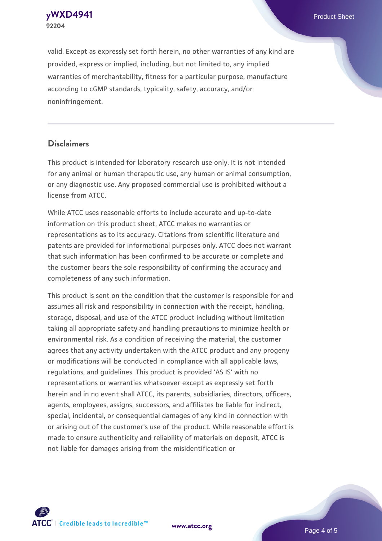**92204**

**[yWXD4941](https://www.atcc.org/products/92204)** Product Sheet

valid. Except as expressly set forth herein, no other warranties of any kind are provided, express or implied, including, but not limited to, any implied warranties of merchantability, fitness for a particular purpose, manufacture according to cGMP standards, typicality, safety, accuracy, and/or noninfringement.

#### **Disclaimers**

This product is intended for laboratory research use only. It is not intended for any animal or human therapeutic use, any human or animal consumption, or any diagnostic use. Any proposed commercial use is prohibited without a license from ATCC.

While ATCC uses reasonable efforts to include accurate and up-to-date information on this product sheet, ATCC makes no warranties or representations as to its accuracy. Citations from scientific literature and patents are provided for informational purposes only. ATCC does not warrant that such information has been confirmed to be accurate or complete and the customer bears the sole responsibility of confirming the accuracy and completeness of any such information.

This product is sent on the condition that the customer is responsible for and assumes all risk and responsibility in connection with the receipt, handling, storage, disposal, and use of the ATCC product including without limitation taking all appropriate safety and handling precautions to minimize health or environmental risk. As a condition of receiving the material, the customer agrees that any activity undertaken with the ATCC product and any progeny or modifications will be conducted in compliance with all applicable laws, regulations, and guidelines. This product is provided 'AS IS' with no representations or warranties whatsoever except as expressly set forth herein and in no event shall ATCC, its parents, subsidiaries, directors, officers, agents, employees, assigns, successors, and affiliates be liable for indirect, special, incidental, or consequential damages of any kind in connection with or arising out of the customer's use of the product. While reasonable effort is made to ensure authenticity and reliability of materials on deposit, ATCC is not liable for damages arising from the misidentification or



**[www.atcc.org](http://www.atcc.org)**

Page 4 of 5